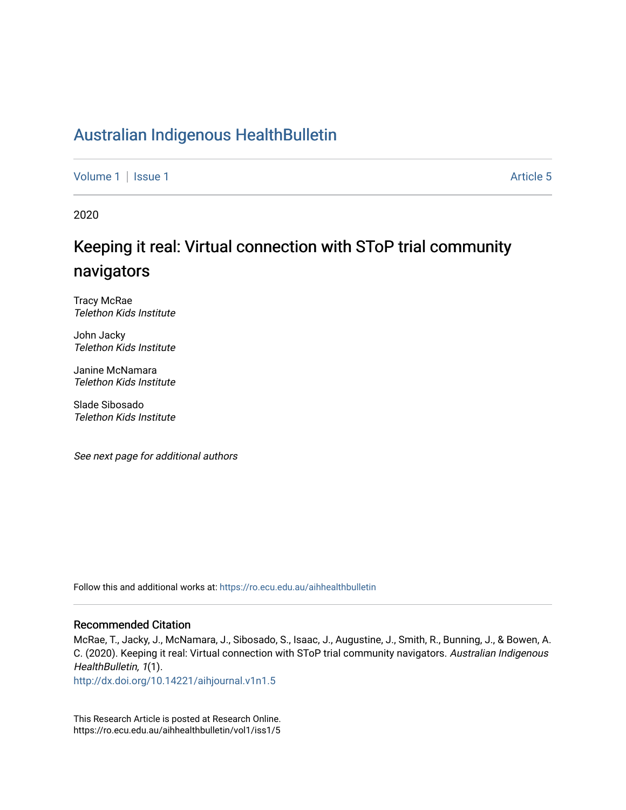# [Australian Indigenous HealthBulletin](https://ro.ecu.edu.au/aihhealthbulletin)

[Volume 1](https://ro.ecu.edu.au/aihhealthbulletin/vol1) | [Issue 1](https://ro.ecu.edu.au/aihhealthbulletin/vol1/iss1) Article 5

2020

# Keeping it real: Virtual connection with SToP trial community navigators

Tracy McRae Telethon Kids Institute

John Jacky Telethon Kids Institute

Janine McNamara Telethon Kids Institute

Slade Sibosado Telethon Kids Institute

See next page for additional authors

Follow this and additional works at: [https://ro.ecu.edu.au/aihhealthbulletin](https://ro.ecu.edu.au/aihhealthbulletin?utm_source=ro.ecu.edu.au%2Faihhealthbulletin%2Fvol1%2Fiss1%2F5&utm_medium=PDF&utm_campaign=PDFCoverPages) 

#### Recommended Citation

McRae, T., Jacky, J., McNamara, J., Sibosado, S., Isaac, J., Augustine, J., Smith, R., Bunning, J., & Bowen, A. C. (2020). Keeping it real: Virtual connection with SToP trial community navigators. Australian Indigenous HealthBulletin, 1(1).

<http://dx.doi.org/10.14221/aihjournal.v1n1.5>

This Research Article is posted at Research Online. https://ro.ecu.edu.au/aihhealthbulletin/vol1/iss1/5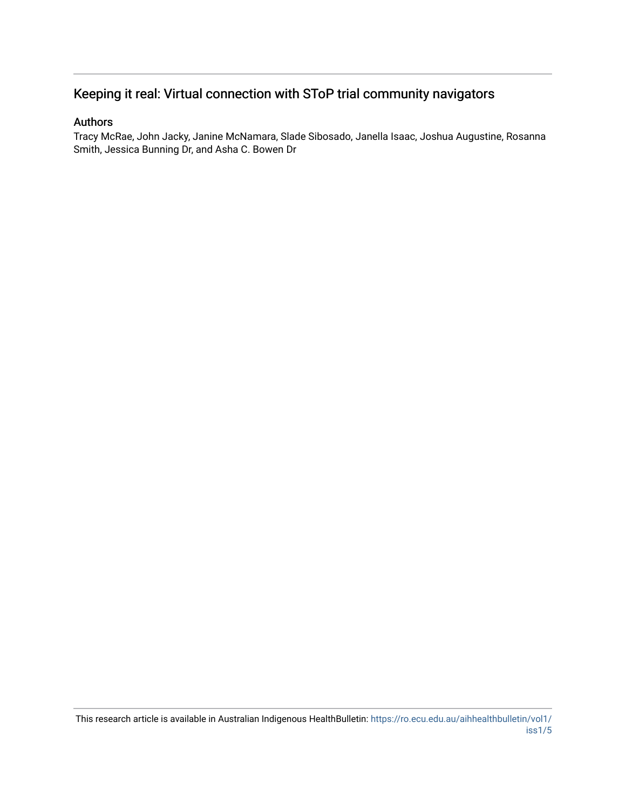## Keeping it real: Virtual connection with SToP trial community navigators

#### Authors

Tracy McRae, John Jacky, Janine McNamara, Slade Sibosado, Janella Isaac, Joshua Augustine, Rosanna Smith, Jessica Bunning Dr, and Asha C. Bowen Dr

This research article is available in Australian Indigenous HealthBulletin: [https://ro.ecu.edu.au/aihhealthbulletin/vol1/](https://ro.ecu.edu.au/aihhealthbulletin/vol1/iss1/5) [iss1/5](https://ro.ecu.edu.au/aihhealthbulletin/vol1/iss1/5)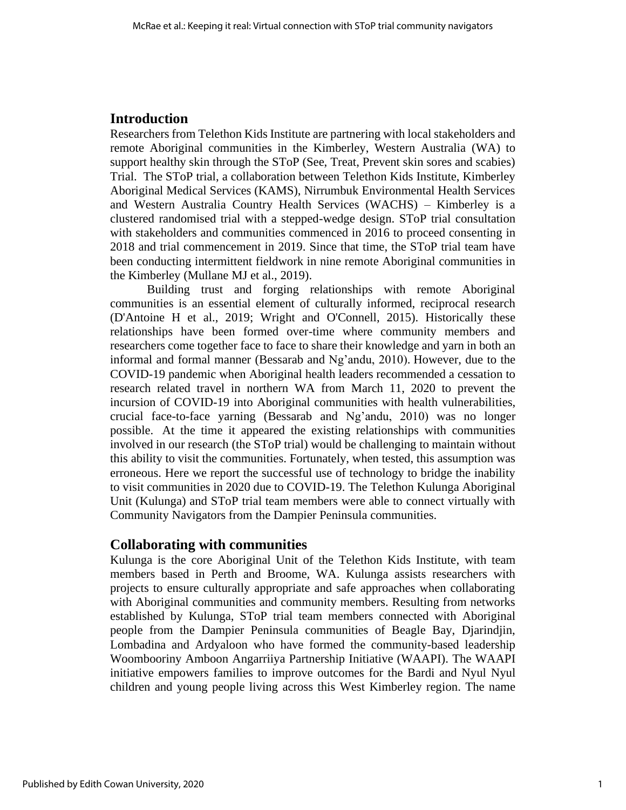#### **Introduction**

Researchers from Telethon Kids Institute are partnering with local stakeholders and remote Aboriginal communities in the Kimberley, Western Australia (WA) to support healthy skin through the SToP (See, Treat, Prevent skin sores and scabies) Trial. The SToP trial, a collaboration between Telethon Kids Institute, Kimberley Aboriginal Medical Services (KAMS), Nirrumbuk Environmental Health Services and Western Australia Country Health Services (WACHS) – Kimberley is a clustered randomised trial with a stepped-wedge design. SToP trial consultation with stakeholders and communities commenced in 2016 to proceed consenting in 2018 and trial commencement in 2019. Since that time, the SToP trial team have been conducting intermittent fieldwork in nine remote Aboriginal communities in the Kimberley (Mullane MJ et al., 2019).

Building trust and forging relationships with remote Aboriginal communities is an essential element of culturally informed, reciprocal research (D'Antoine H et al., 2019; Wright and O'Connell, 2015). Historically these relationships have been formed over-time where community members and researchers come together face to face to share their knowledge and yarn in both an informal and formal manner (Bessarab and Ng'andu, 2010). However, due to the COVID-19 pandemic when Aboriginal health leaders recommended a cessation to research related travel in northern WA from March 11, 2020 to prevent the incursion of COVID-19 into Aboriginal communities with health vulnerabilities, crucial face-to-face yarning (Bessarab and Ng'andu, 2010) was no longer possible. At the time it appeared the existing relationships with communities involved in our research (the SToP trial) would be challenging to maintain without this ability to visit the communities. Fortunately, when tested, this assumption was erroneous. Here we report the successful use of technology to bridge the inability to visit communities in 2020 due to COVID-19. The Telethon Kulunga Aboriginal Unit (Kulunga) and SToP trial team members were able to connect virtually with Community Navigators from the Dampier Peninsula communities.

### **Collaborating with communities**

Kulunga is the core Aboriginal Unit of the Telethon Kids Institute, with team members based in Perth and Broome, WA. Kulunga assists researchers with projects to ensure culturally appropriate and safe approaches when collaborating with Aboriginal communities and community members. Resulting from networks established by Kulunga, SToP trial team members connected with Aboriginal people from the Dampier Peninsula communities of Beagle Bay, Djarindjin, Lombadina and Ardyaloon who have formed the community-based leadership Woombooriny Amboon Angarriiya Partnership Initiative (WAAPI). The WAAPI initiative empowers families to improve outcomes for the Bardi and Nyul Nyul children and young people living across this West Kimberley region. The name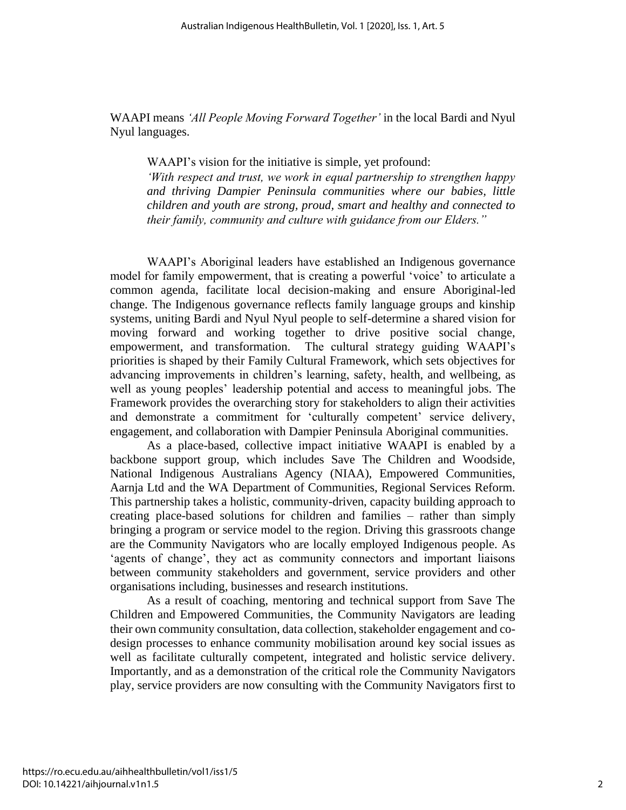WAAPI means *'All People Moving Forward Together'* in the local Bardi and Nyul Nyul languages.

WAAPI's vision for the initiative is simple, yet profound:

*'With respect and trust, we work in equal partnership to strengthen happy and thriving Dampier Peninsula communities where our babies, little children and youth are strong, proud, smart and healthy and connected to their family, community and culture with guidance from our Elders."*

WAAPI's Aboriginal leaders have established an Indigenous governance model for family empowerment, that is creating a powerful 'voice' to articulate a common agenda, facilitate local decision-making and ensure Aboriginal-led change. The Indigenous governance reflects family language groups and kinship systems, uniting Bardi and Nyul Nyul people to self-determine a shared vision for moving forward and working together to drive positive social change, empowerment, and transformation. The cultural strategy guiding WAAPI's priorities is shaped by their Family Cultural Framework, which sets objectives for advancing improvements in children's learning, safety, health, and wellbeing, as well as young peoples' leadership potential and access to meaningful jobs. The Framework provides the overarching story for stakeholders to align their activities and demonstrate a commitment for 'culturally competent' service delivery, engagement, and collaboration with Dampier Peninsula Aboriginal communities.

As a place-based, collective impact initiative WAAPI is enabled by a backbone support group, which includes Save The Children and Woodside, National Indigenous Australians Agency (NIAA), Empowered Communities, Aarnja Ltd and the WA Department of Communities, Regional Services Reform. This partnership takes a holistic, community-driven, capacity building approach to creating place-based solutions for children and families – rather than simply bringing a program or service model to the region. Driving this grassroots change are the Community Navigators who are locally employed Indigenous people. As 'agents of change', they act as community connectors and important liaisons between community stakeholders and government, service providers and other organisations including, businesses and research institutions.

As a result of coaching, mentoring and technical support from Save The Children and Empowered Communities, the Community Navigators are leading their own community consultation, data collection, stakeholder engagement and codesign processes to enhance community mobilisation around key social issues as well as facilitate culturally competent, integrated and holistic service delivery. Importantly, and as a demonstration of the critical role the Community Navigators play, service providers are now consulting with the Community Navigators first to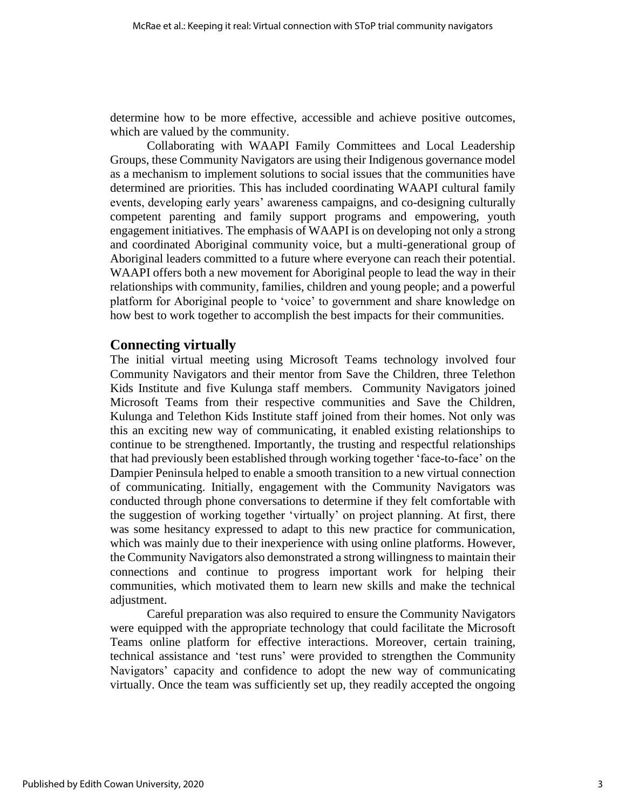determine how to be more effective, accessible and achieve positive outcomes, which are valued by the community.

Collaborating with WAAPI Family Committees and Local Leadership Groups, these Community Navigators are using their Indigenous governance model as a mechanism to implement solutions to social issues that the communities have determined are priorities. This has included coordinating WAAPI cultural family events, developing early years' awareness campaigns, and co-designing culturally competent parenting and family support programs and empowering, youth engagement initiatives. The emphasis of WAAPI is on developing not only a strong and coordinated Aboriginal community voice, but a multi-generational group of Aboriginal leaders committed to a future where everyone can reach their potential. WAAPI offers both a new movement for Aboriginal people to lead the way in their relationships with community, families, children and young people; and a powerful platform for Aboriginal people to 'voice' to government and share knowledge on how best to work together to accomplish the best impacts for their communities.

#### **Connecting virtually**

The initial virtual meeting using Microsoft Teams technology involved four Community Navigators and their mentor from Save the Children, three Telethon Kids Institute and five Kulunga staff members. Community Navigators joined Microsoft Teams from their respective communities and Save the Children, Kulunga and Telethon Kids Institute staff joined from their homes. Not only was this an exciting new way of communicating, it enabled existing relationships to continue to be strengthened. Importantly, the trusting and respectful relationships that had previously been established through working together 'face-to-face' on the Dampier Peninsula helped to enable a smooth transition to a new virtual connection of communicating. Initially, engagement with the Community Navigators was conducted through phone conversations to determine if they felt comfortable with the suggestion of working together 'virtually' on project planning. At first, there was some hesitancy expressed to adapt to this new practice for communication, which was mainly due to their inexperience with using online platforms. However, the Community Navigators also demonstrated a strong willingness to maintain their connections and continue to progress important work for helping their communities, which motivated them to learn new skills and make the technical adjustment.

Careful preparation was also required to ensure the Community Navigators were equipped with the appropriate technology that could facilitate the Microsoft Teams online platform for effective interactions. Moreover, certain training, technical assistance and 'test runs' were provided to strengthen the Community Navigators' capacity and confidence to adopt the new way of communicating virtually. Once the team was sufficiently set up, they readily accepted the ongoing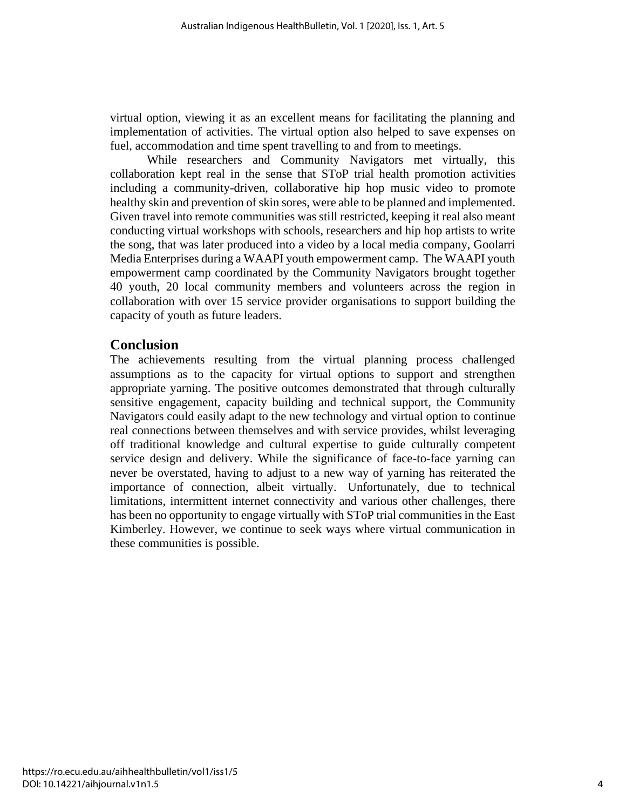virtual option, viewing it as an excellent means for facilitating the planning and implementation of activities. The virtual option also helped to save expenses on fuel, accommodation and time spent travelling to and from to meetings.

While researchers and Community Navigators met virtually, this collaboration kept real in the sense that SToP trial health promotion activities including a community-driven, collaborative hip hop music video to promote healthy skin and prevention of skin sores, were able to be planned and implemented. Given travel into remote communities was still restricted, keeping it real also meant conducting virtual workshops with schools, researchers and hip hop artists to write the song, that was later produced into a video by a local media company, Goolarri Media Enterprises during a WAAPI youth empowerment camp. The WAAPI youth empowerment camp coordinated by the Community Navigators brought together 40 youth, 20 local community members and volunteers across the region in collaboration with over 15 service provider organisations to support building the capacity of youth as future leaders.

## **Conclusion**

The achievements resulting from the virtual planning process challenged assumptions as to the capacity for virtual options to support and strengthen appropriate yarning. The positive outcomes demonstrated that through culturally sensitive engagement, capacity building and technical support, the Community Navigators could easily adapt to the new technology and virtual option to continue real connections between themselves and with service provides, whilst leveraging off traditional knowledge and cultural expertise to guide culturally competent service design and delivery. While the significance of face-to-face yarning can never be overstated, having to adjust to a new way of yarning has reiterated the importance of connection, albeit virtually. Unfortunately, due to technical limitations, intermittent internet connectivity and various other challenges, there has been no opportunity to engage virtually with SToP trial communities in the East Kimberley. However, we continue to seek ways where virtual communication in these communities is possible.